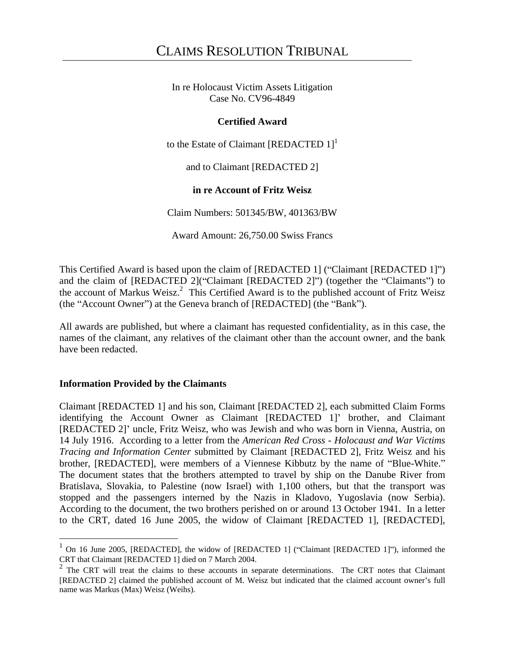In re Holocaust Victim Assets Litigation Case No. CV96-4849

# **Certified Award**

to the Estate of Claimant [REDACTED  $1$ ]<sup>1</sup>

and to Claimant [REDACTED 2]

# **in re Account of Fritz Weisz**

Claim Numbers: 501345/BW, 401363/BW

Award Amount: 26,750.00 Swiss Francs

This Certified Award is based upon the claim of [REDACTED 1] ("Claimant [REDACTED 1]") and the claim of [REDACTED 2]("Claimant [REDACTED 2]") (together the "Claimants") to the account of Markus Weisz.<sup>2</sup> This Certified Award is to the published account of Fritz Weisz (the "Account Owner") at the Geneva branch of [REDACTED] (the "Bank").

All awards are published, but where a claimant has requested confidentiality, as in this case, the names of the claimant, any relatives of the claimant other than the account owner, and the bank have been redacted.

# **Information Provided by the Claimants**

Claimant [REDACTED 1] and his son, Claimant [REDACTED 2], each submitted Claim Forms identifying the Account Owner as Claimant [REDACTED 1]' brother, and Claimant [REDACTED 2] uncle, Fritz Weisz, who was Jewish and who was born in Vienna, Austria, on 14 July 1916. According to a letter from the *American Red Cross - Holocaust and War Victims Tracing and Information Center* submitted by Claimant [REDACTED 2], Fritz Weisz and his brother, [REDACTED], were members of a Viennese Kibbutz by the name of "Blue-White." The document states that the brothers attempted to travel by ship on the Danube River from Bratislava, Slovakia, to Palestine (now Israel) with 1,100 others, but that the transport was stopped and the passengers interned by the Nazisin Kladovo, Yugoslavia (now Serbia). According to the document, the two brothers perished on or around 13 October 1941. In a letter to the CRT, dated 16 June 2005, the widow of Claimant [REDACTED 1], [REDACTED],

On 16 June 2005, [REDACTED], the widow of [REDACTED 1] ("Claimant [REDACTED 1]"), informed the CRT that Claimant [REDACTED 1] died on 7 March 2004.

<sup>2</sup> The CRT will treat the claims to these accounts in separate determinations. The CRT notes that Claimant [REDACTED 2] claimed the published account of M. Weisz but indicated that the claimed account owner s full name was Markus (Max) Weisz (Weihs).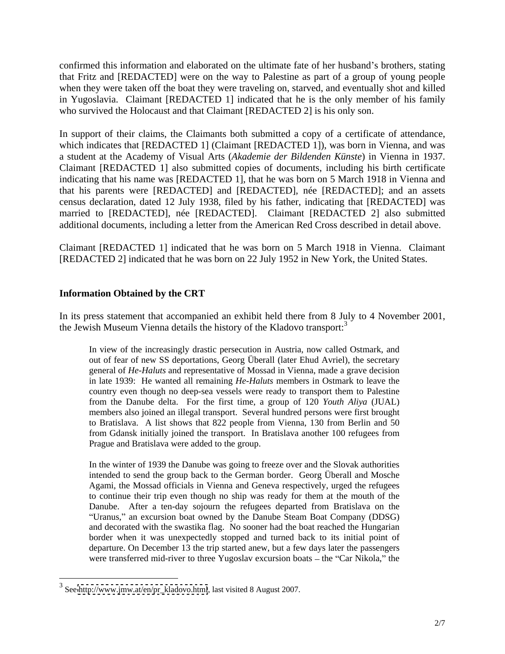confirmed this information and elaborated on the ultimate fate of her husband's brothers, stating that Fritz and [REDACTED] were on the way to Palestine as part of a group of young people when they were taken off the boat they were traveling on, starved, and eventually shot and killed in Yugoslavia. Claimant [REDACTED 1] indicated that he is the only member of his family who survived the Holocaust and that Claimant [REDACTED 2] is his only son.

In support of their claims, the Claimants both submitted a copy of a certificate of attendance, which indicates that [REDACTED 1] (Claimant [REDACTED 1]), was born in Vienna, and was a student at the Academy of Visual Arts (*Akademie der Bildenden Künste*) in Vienna in 1937. Claimant [REDACTED 1] also submitted copies of documents, including his birth certificate indicating that his name was [REDACTED 1], that he was born on 5 March 1918 in Vienna and that his parents were [REDACTED] and [REDACTED], née [REDACTED]; and an assets census declaration, dated 12 July 1938, filed by his father, indicating that [REDACTED] was married to [REDACTED], née [REDACTED]. Claimant [REDACTED 2] also submitted additional documents, including a letter from the American Red Cross described in detail above.

Claimant [REDACTED 1] indicated that he was born on 5 March 1918 in Vienna. Claimant [REDACTED 2] indicated that he was born on 22 July 1952 in New York, the United States.

# **Information Obtained by the CRT**

In its press statement that accompanied an exhibit held there from 8 July to 4 November 2001, the Jewish Museum Vienna details the history of the Kladovo transport:<sup>3</sup>

ish Museum Vienna details the history of the Kladovo transport:<sup>3</sup><br>In view of the increasingly drastic persecution in Austria, now called Ostmark, and out of fear of new SS deportations, Georg Überall (later Ehud Avriel), the secretary general of *He-Haluts* and representative of Mossad in Vienna, made a grave decision in late 1939: He wanted all remaining *He-Haluts* members in Ostmark to leave the country even though no deep-sea vessels were ready to transport them to Palestine from the Danube delta. For the first time, a group of 120 *Youth Aliya* (JUAL) members also joined an illegal transport. Several hundred persons were first brought to Bratislava. A list shows that 822 people from Vienna, 130 from Berlin and 50 from Gdansk initially joined the transport. In Bratislava another 100 refugees from Prague and Bratislava were added to the group.

In the winter of 1939 the Danube was going to freeze over and the Slovak authorities intended to send the group back to the German border. Georg Überall and Mosche Agami, the Mossad officials in Vienna and Geneva respectively, urged the refugees to continue their trip even though no ship was ready for them at the mouth of the Danube. After a ten-day sojourn the refugees departed from Bratislava on the "Uranus," an excursion boat owned by the Danube Steam Boat Company (DDSG) and decorated with the swastika flag. No sooner had the boat reached the Hungarian border when it was unexpectedly stopped and turned back to its initial point of departure. On December 13 the trip started anew, but a few dayslater the passengers were transferred mid-river to three Yugoslav excursion boats - the "Car Nikola," the

 <sup>3</sup> See [http://www.jmw.at/en/pr\\_kladovo.html](http://www.jmw.at/en/pr_kladovo.html), last visited 8 August 2007.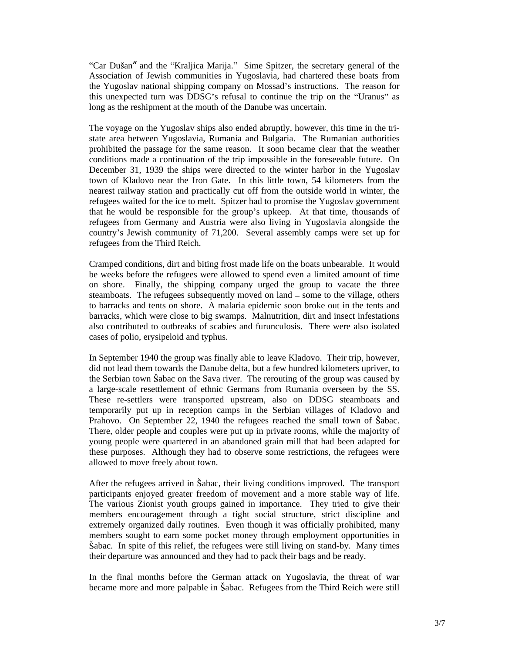"Car Dušan" and the "Kraljica Marija." Sime Spitzer, the secretary general of the Association of Jewish communities in Yugoslavia, had chartered these boats from the Yugoslav national shipping company on Mossad's instructions. The reason for this unexpected turn was DDSG's refusal to continue the trip on the "Uranus" as long as the reshipment at the mouth of the Danube was uncertain.

The voyage on the Yugoslav ships also ended abruptly, however, this time in the tri state area between Yugoslavia, Rumania and Bulgaria. The Rumanian authorities prohibited the passage for the same reason. It soon became clear that the weather conditions made a continuation of the trip impossible in the foreseeable future. On December 31, 1939 the ships were directed to the winter harbor in the Yugoslav town of Kladovo near the Iron Gate. In this little town, 54 kilometers from the nearest railway station and practically cut off from the outside world in winter, the refugees waited for the ice to melt. Spitzer had to promise the Yugoslav government that he would be responsible for the group's upkeep. At that time, thousands of refugees from Germany and Austria were also living in Yugoslavia alongside the country's Jewish community of 71,200. Several assembly camps were set up for refugees from the Third Reich.

Cramped conditions, dirt and biting frost made life on the boats unbearable. It would be weeks before the refugees were allowed to spend even a limited amount of time on shore. Finally, the shipping company urged the group to vacate the three steamboats. The refugees subsequently moved on land – some to the village, others to barracks and tents on shore. A malaria epidemic soon broke out in the tents and barracks, which were close to big swamps. Malnutrition, dirt and insect infestations also contributed to outbreaks of scabies and furunculosis. There were also isolated cases of polio, erysipeloid and typhus.

In September 1940 the group was finally able to leave Kladovo. Their trip, however, did not lead them towards the Danube delta, but a few hundred kilometers upriver, to the Serbian town Sabac on the Sava river. The rerouting of the group was caused by a large-scale resettlement of ethnic Germans from Rumania overseen by the SS. These re-settlers were transported upstream, also on DDSG steamboats and temporarily put up in reception camps in the Serbian villages of Kladovo and Prahovo. On September 22, 1940 the refugees reached the small town of Sabac. There, older people and couples were put up in private rooms, while the majority of young people were quartered in an abandoned grain mill that had been adapted for these purposes. Although they had to observe some restrictions, the refugees were allowed to move freely about town.

After the refugees arrived in Sabac, their living conditions improved. The transport participants enjoyed greater freedom of movement and a more stable way of life. The various Zionist youth groups gained in importance. They tried to give their members encouragement through a tight social structure, strict discipline and extremely organized daily routines. Even though it was officially prohibited, many members sought to earn some pocket money through employment opportunities in  $\tilde{S}$ abac. In spite of this relief, the refugees were still living on stand-by. Many times their departure was announced and they had to pack their bags and be ready.

In the final months before the German attack on Yugoslavia, the threat of war became more and more palpable in Sabac. Refugees from the Third Reich were still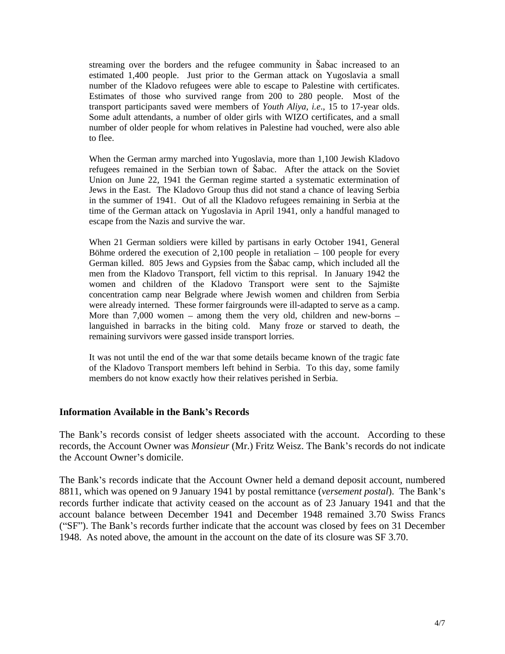streaming over the borders and the refugee community in Sabac increased to an estimated 1,400 people. Just prior to the German attack on Yugoslavia a small number of the Kladovo refugees were able to escape to Palestine with certificates. Estimates of those who survived range from 200 to 280 people. Most of the transport participants saved were members of *Youth Aliya*, *i.e*., 15 to 17-year olds. Some adult attendants, a number of older girls with WIZO certificates, and a small number of older people for whom relatives in Palestine had vouched, were also able to flee.

When the German army marched into Yugoslavia, more than 1,100 Jewish Kladovo refugees remained in the Serbian town of Šabac. After the attack on the Soviet Union on June 22, 1941 the German regime started a systematic extermination of Jews in the East. The Kladovo Group thus did not stand a chance of leaving Serbia in the summer of 1941. Out of all the Kladovo refugees remaining in Serbia at the time of the German attack on Yugoslavia in April 1941, only a handful managed to escape from the Nazis and survive the war.

When 21 German soldiers were killed by partisans in early October 1941, General Böhme ordered the execution of  $2,100$  people in retaliation  $-100$  people for every German killed. 805 Jews and Gypsies from the Šabac camp, which included all the men from the Kladovo Transport, fell victim to this reprisal. In January 1942 the women and children of the Kladovo Transport were sent to the Sajmište concentration camp near Belgrade where Jewish women and children from Serbia were already interned. These former fairgrounds were ill-adapted to serve as a camp. More than  $7,000$  women – among them the very old, children and new-borns – languished in barracks in the biting cold. Many froze or starved to death, the remaining survivors were gassed inside transport lorries.

It was not until the end of the war that some details became known of the tragic fate of the Kladovo Transport members left behind in Serbia. To this day, some family members do not know exactly how their relatives perished in Serbia.

#### **Information Available in the Bank s Records**

The Bank's records consist of ledger sheets associated with the account. According to these records, the Account Owner was *Monsieur* (Mr.) Fritz Weisz. The Bank's records do not indicate the Account Owner's domicile.

The Bank's records indicate that the Account Owner held a demand deposit account, numbered 8811, which was opened on 9 January 1941 by postal remittance (*versement postal*). The Bank s records further indicate that activity ceased on the account as of 23 January 1941 and that the account balance between December 1941 and December 1948 remained 3.70 Swiss Francs ("SF"). The Bank's records further indicate that the account was closed by fees on 31 December 1948. As noted above, the amount in the account on the date of its closure was SF 3.70.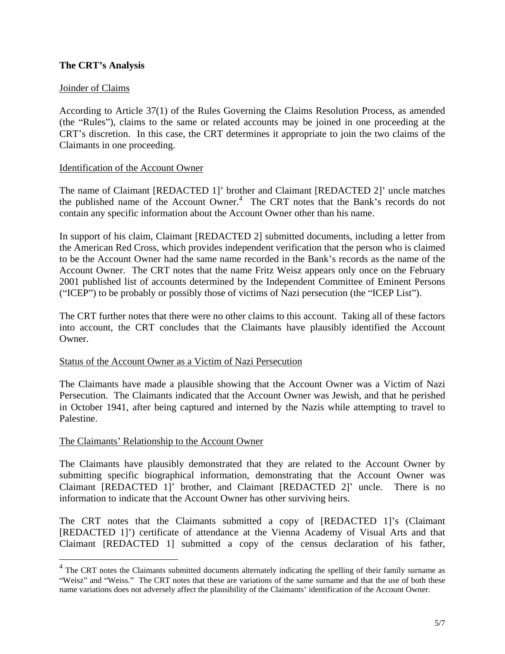# **The CRT s Analysis**

# **Joinder of Claims**

According to Article 37(1) of the Rules Governing the Claims Resolution Process, as amended (the "Rules"), claims to the same or related accounts may be joined in one proceeding at the CRT s discretion. In this case, the CRT determines it appropriate to join the two claims of the Claimants in one proceeding.

## Identification of the Account Owner

The name of Claimant [REDACTED 1]' brother and Claimant [REDACTED 2]' uncle matches the published name of the Account Owner.<sup>4</sup> The CRT notes that the Bank's records do not contain any specific information about the Account Owner other than his name.

In support of his claim, Claimant [REDACTED 2] submitted documents, including a letter from the American Red Cross, which provides independent verification that the person who is claimed to be the Account Owner had the same name recorded in the Bank's records as the name of the Account Owner. The CRT notes that the name Fritz Weisz appears onlyonce on the February 2001 published list of accounts determined by the Independent Committee of Eminent Persons ("ICEP") to be probably or possibly those of victims of Nazi persecution (the "ICEP List").

The CRT further notes that there were no other claims to this account. Taking all of these factors into account, the CRT concludes that the Claimants have plausibly identified the Account Owner.

#### Status of the Account Owner as a Victim of Nazi Persecution

The Claimants have made a plausible showing that the Account Owner was a Victim of Nazi Persecution. The Claimants indicated that the Account Owner was Jewish, and that he perished in October 1941, after being captured and interned by the Nazis while attempting to travel to Palestine.

## The Claimants' Relationship to the Account Owner

The Claimants have plausibly demonstrated that they are related to the Account Owner by submitting specific biographical information, demonstrating that the Account Owner was Claimant [REDACTED 1]' brother, and Claimant [REDACTED 2]' uncle. There is no information to indicate that the Account Owner has other surviving heirs.

The CRT notes that the Claimants submitted a copy of [REDACTED 1]'s (Claimant [REDACTED 1]') certificate of attendance at the Vienna Academy of Visual Arts and that Claimant [REDACTED 1] submitted a copy of the census declaration of his father,

<sup>&</sup>lt;sup>4</sup> The CRT notes the Claimants submitted documents alternately indicating the spelling of their family surname as "Weisz" and "Weiss." The CRT notes that these are variations of the same surname and that the use of both these name variations does not adversely affect the plausibility of the Claimants' identification of the Account Owner.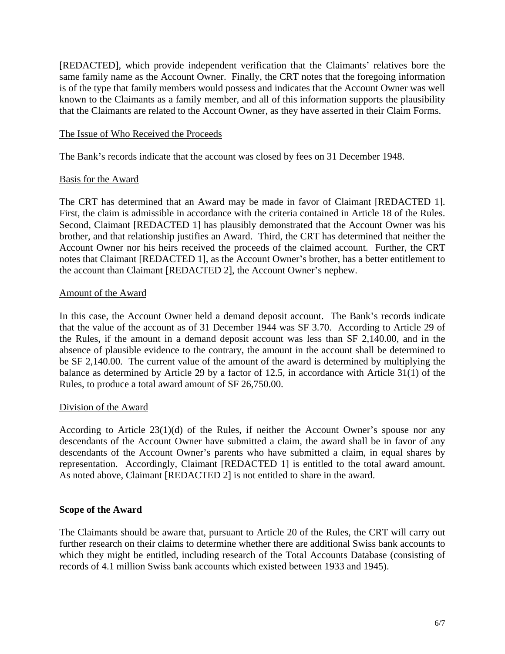[REDACTED], which provide independent verification that the Claimants' relatives bore the same family name as the Account Owner. Finally, the CRT notes that the foregoing information is of the type that family members would possess and indicates that the Account Owner was well known to the Claimants as a family member, and all of this information supports the plausibility that the Claimants are related to the Account Owner, as they have asserted in their Claim Forms.

## The Issue of Who Received the Proceeds

The Bank's records indicate that the account was closed by fees on 31 December 1948.

## Basis for the Award

The CRT has determined that an Award may be made in favor of Claimant [REDACTED 1]. First, the claim is admissible in accordance with the criteria contained in Article <sup>18</sup> of the Rules. Second, Claimant [REDACTED 1] has plausibly demonstrated that the Account Owner was his brother, and that relationship justifies an Award. Third, the CRT has determined that neither the Account Owner nor his heirs received the proceeds of the claimed account. Further, the CRT notes that Claimant [REDACTED 1], as the Account Owner's brother, has a better entitlement to the account than Claimant [REDACTED 2], the Account Owner's nephew.

## Amount of the Award

In this case, the Account Owner held a demand deposit account. The Bank's records indicate that the value of the account as of 31 December 1944 was SF 3.70. According to Article 29 of the Rules, if the amount in a demand deposit account was less than SF 2,140.00, and in the absence of plausible evidence to the contrary, the amount in the account shall be determined to be SF 2,140.00. The current value of the amount of the award is determined by multiplying the balance as determined by Article 29 by a factor of 12.5, in accordance with Article 31(1) of the Rules, to produce a total award amount of SF 26,750.00.

## Division of the Award

According to Article  $23(1)(d)$  of the Rules, if neither the Account Owner's spouse nor any descendants of the Account Owner have submitted a claim, the award shall be in favor of any descendants of the Account Owner's parents who have submitted a claim, in equal shares by representation. Accordingly, Claimant [REDACTED 1] is entitled to the total award amount. As noted above, Claimant [REDACTED 2] is not entitled to share in the award.

## **Scope of the Award**

The Claimants should be aware that, pursuant to Article 20 of the Rules, the CRT will carry out further research on their claims to determine whether there are additional Swiss bank accounts to which they might be entitled, including research of the Total Accounts Database (consisting of records of 4.1 million Swiss bank accounts which existed between 1933 and 1945).